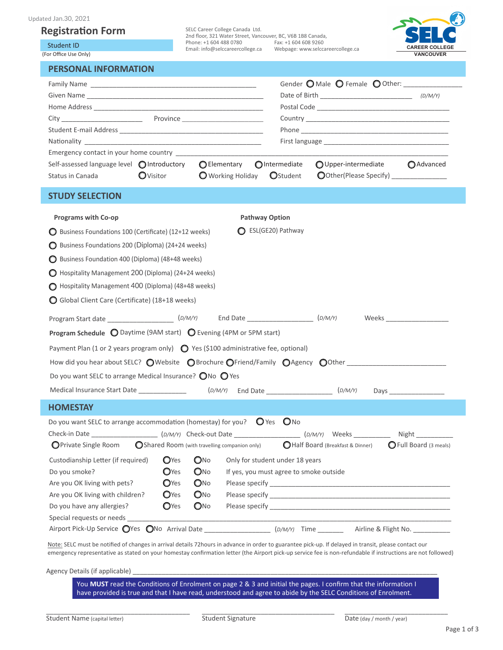## **Registration Form**

Student ID

(For Office Use Only)

| d Jan.30, 2021:                             |                  |                                                                                                |                                   |                                       |                       |  |
|---------------------------------------------|------------------|------------------------------------------------------------------------------------------------|-----------------------------------|---------------------------------------|-----------------------|--|
| egistration Form                            |                  | SELC Career College Canada Ltd.<br>2nd floor, 321 Water Street, Vancouver, BC, V6B 1B8 Canada, |                                   |                                       |                       |  |
| Student ID                                  |                  | Phone: +1 604 488 0780 Fax: +1 604 608 9260<br>Email: info@selccareercollege.ca                | Webpage: www.selccareercollege.ca |                                       | <b>CAREER COLLEGE</b> |  |
| or Office Use Only)                         |                  |                                                                                                |                                   |                                       | <b>VANCOUVER</b>      |  |
| <b>PERSONAL INFORMATION</b>                 |                  |                                                                                                |                                   |                                       |                       |  |
|                                             |                  |                                                                                                |                                   | Gender O Male O Female O Other:       |                       |  |
|                                             |                  |                                                                                                |                                   |                                       |                       |  |
|                                             |                  |                                                                                                |                                   |                                       |                       |  |
| City Province                               |                  |                                                                                                |                                   |                                       |                       |  |
|                                             |                  |                                                                                                |                                   |                                       |                       |  |
|                                             |                  |                                                                                                |                                   |                                       |                       |  |
| Emergency contact in your home country      |                  |                                                                                                |                                   |                                       |                       |  |
| Self-assessed language level ● Introductory |                  | <b>○</b> Elementary ●Intermediate                                                              |                                   | O Upper-intermediate                  | <b>O</b> Advanced     |  |
| Status in Canada                            | <b>O</b> Visitor | ◯ Working Holiday ◯ Student                                                                    |                                   | OOther(Please Specify) ______________ |                       |  |

## **STUDY SELECTION**

| <b>Programs with Co-op</b>                                                                                           |                         | <b>Pathway Option</b>                                                            |  |                               |  |  |  |  |
|----------------------------------------------------------------------------------------------------------------------|-------------------------|----------------------------------------------------------------------------------|--|-------------------------------|--|--|--|--|
| ESL(GE20) Pathway<br>◯ Business Foundations 100 (Certificate) (12+12 weeks)                                          |                         |                                                                                  |  |                               |  |  |  |  |
| ◯ Business Foundations 200 (Diploma) (24+24 weeks)                                                                   |                         |                                                                                  |  |                               |  |  |  |  |
| ◯ Business Foundation 400 (Diploma) (48+48 weeks)                                                                    |                         |                                                                                  |  |                               |  |  |  |  |
| Hospitality Management 200 (Diploma) (24+24 weeks)                                                                   |                         |                                                                                  |  |                               |  |  |  |  |
| Hospitality Management 400 (Diploma) (48+48 weeks)                                                                   |                         |                                                                                  |  |                               |  |  |  |  |
| Global Client Care (Certificate) (18+18 weeks)                                                                       |                         |                                                                                  |  |                               |  |  |  |  |
|                                                                                                                      |                         |                                                                                  |  |                               |  |  |  |  |
| Program Start date _______________________(D/M/Y) End Date _____________________ (D/M/Y)                             |                         |                                                                                  |  |                               |  |  |  |  |
| <b>Program Schedule <math>\bigcirc</math></b> Daytime (9AM start) $\bigcirc$ Evening (4PM or 5PM start)              |                         |                                                                                  |  |                               |  |  |  |  |
| Payment Plan (1 or 2 years program only) $\bigcirc$ Yes (\$100 administrative fee, optional)                         |                         |                                                                                  |  |                               |  |  |  |  |
| How did you hear about SELC? OWebsite OBrochure OFriend/Family OAgency OOther                                        |                         |                                                                                  |  |                               |  |  |  |  |
| Do you want SELC to arrange Medical Insurance? $\bigcirc$ No $\bigcirc$ Yes                                          |                         |                                                                                  |  |                               |  |  |  |  |
| Medical Insurance Start Date ________________ (D/M/Y) End Date __________________ (D/M/Y)                            |                         |                                                                                  |  |                               |  |  |  |  |
| <b>HOMESTAY</b>                                                                                                      |                         |                                                                                  |  |                               |  |  |  |  |
| Do you want SELC to arrange accommodation (homestay) for you? $\bigcirc$ Yes $\bigcirc$ No                           |                         |                                                                                  |  |                               |  |  |  |  |
| Check-in Date _______________________(D/M/Y) Check-out Date ____________________(D/M/Y) Weeks _______________Night _ |                         |                                                                                  |  |                               |  |  |  |  |
| <b>O</b> Private Single Room                                                                                         |                         | ◯Shared Room (with travelling companion only) 	 ●Half Board (Breakfast & Dinner) |  | <b>O</b> Full Board (3 meals) |  |  |  |  |
| Custodianship Letter (if required)                                                                                   | O <sub>Yes</sub><br>QNQ | Only for student under 18 years                                                  |  |                               |  |  |  |  |
| Do you smoke?                                                                                                        | ONO<br><b>O</b> Yes     | If yes, you must agree to smoke outside                                          |  |                               |  |  |  |  |
| <b>O</b> Yes<br>Are you OK living with pets?                                                                         | $\mathbf{O}$ No         |                                                                                  |  |                               |  |  |  |  |
| <b>O</b> Yes<br>Are you OK living with children?                                                                     | $\bigcirc$ No           |                                                                                  |  |                               |  |  |  |  |
| <b>O</b> Yes<br>Do you have any allergies?                                                                           | QNO                     |                                                                                  |  |                               |  |  |  |  |
| Special requests or needs _______________                                                                            |                         |                                                                                  |  |                               |  |  |  |  |
|                                                                                                                      |                         |                                                                                  |  |                               |  |  |  |  |

Note: SELC must be notified of changes in arrival details 72hours in advance in order to guarantee pick-up. If delayed in transit, please contact our emergency representative as stated on your homestay confirmation letter (the Airport pick-up service fee is non-refundable if instructions are not followed)

Agency Details (if applicable)

You **MUST** read the Conditions of Enrolment on page 2 & 3 and initial the pages. I confirm that the information I have provided is true and that I have read, understood and agree to abide by the SELC Conditions of Enrolment.

\_\_\_\_\_\_\_\_\_\_\_\_\_\_\_\_\_\_\_\_\_\_\_\_\_\_\_\_\_\_\_\_\_\_\_\_

\_\_\_\_\_\_\_\_\_\_\_\_\_\_\_\_\_\_\_\_\_\_\_\_\_\_\_\_\_\_\_\_\_\_\_\_\_\_\_